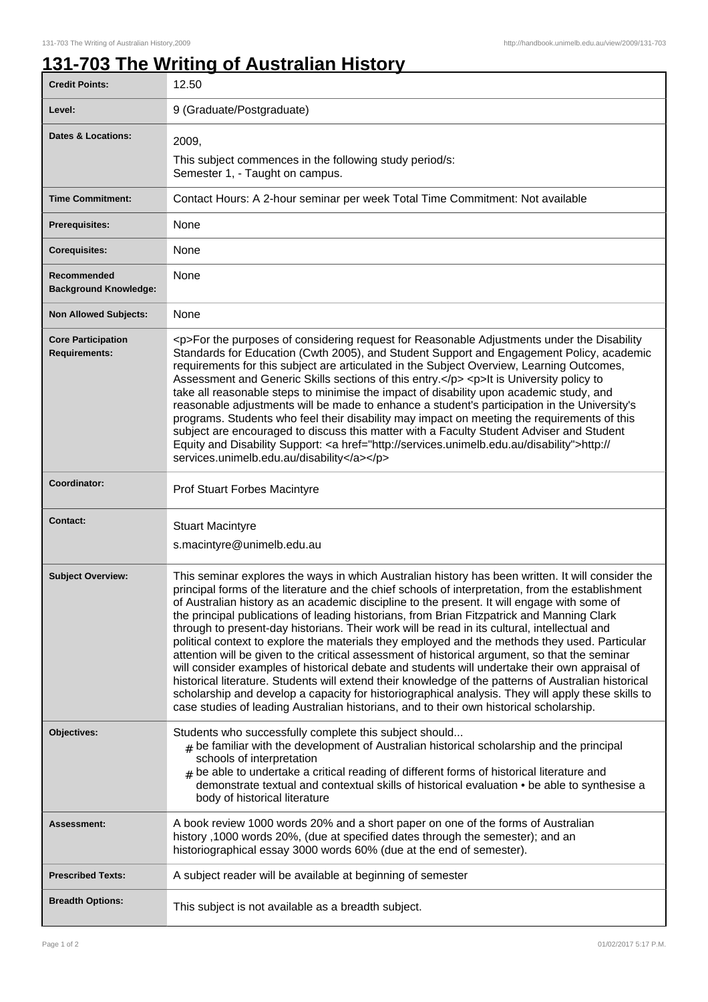## **131-703 The Writing of Australian History**

| <b>Credit Points:</b>                             | 12.50                                                                                                                                                                                                                                                                                                                                                                                                                                                                                                                                                                                                                                                                                                                                                                                                                                                                                                                                                                                                                                                                                                              |
|---------------------------------------------------|--------------------------------------------------------------------------------------------------------------------------------------------------------------------------------------------------------------------------------------------------------------------------------------------------------------------------------------------------------------------------------------------------------------------------------------------------------------------------------------------------------------------------------------------------------------------------------------------------------------------------------------------------------------------------------------------------------------------------------------------------------------------------------------------------------------------------------------------------------------------------------------------------------------------------------------------------------------------------------------------------------------------------------------------------------------------------------------------------------------------|
| Level:                                            | 9 (Graduate/Postgraduate)                                                                                                                                                                                                                                                                                                                                                                                                                                                                                                                                                                                                                                                                                                                                                                                                                                                                                                                                                                                                                                                                                          |
| <b>Dates &amp; Locations:</b>                     | 2009,<br>This subject commences in the following study period/s:<br>Semester 1, - Taught on campus.                                                                                                                                                                                                                                                                                                                                                                                                                                                                                                                                                                                                                                                                                                                                                                                                                                                                                                                                                                                                                |
| <b>Time Commitment:</b>                           | Contact Hours: A 2-hour seminar per week Total Time Commitment: Not available                                                                                                                                                                                                                                                                                                                                                                                                                                                                                                                                                                                                                                                                                                                                                                                                                                                                                                                                                                                                                                      |
| <b>Prerequisites:</b>                             | None                                                                                                                                                                                                                                                                                                                                                                                                                                                                                                                                                                                                                                                                                                                                                                                                                                                                                                                                                                                                                                                                                                               |
| <b>Corequisites:</b>                              | None                                                                                                                                                                                                                                                                                                                                                                                                                                                                                                                                                                                                                                                                                                                                                                                                                                                                                                                                                                                                                                                                                                               |
| Recommended<br><b>Background Knowledge:</b>       | None                                                                                                                                                                                                                                                                                                                                                                                                                                                                                                                                                                                                                                                                                                                                                                                                                                                                                                                                                                                                                                                                                                               |
| <b>Non Allowed Subjects:</b>                      | None                                                                                                                                                                                                                                                                                                                                                                                                                                                                                                                                                                                                                                                                                                                                                                                                                                                                                                                                                                                                                                                                                                               |
| <b>Core Participation</b><br><b>Requirements:</b> | <p>For the purposes of considering request for Reasonable Adjustments under the Disability<br/>Standards for Education (Cwth 2005), and Student Support and Engagement Policy, academic<br/>requirements for this subject are articulated in the Subject Overview, Learning Outcomes,<br/>Assessment and Generic Skills sections of this entry.</p> <p>lt is University policy to<br/>take all reasonable steps to minimise the impact of disability upon academic study, and<br/>reasonable adjustments will be made to enhance a student's participation in the University's<br/>programs. Students who feel their disability may impact on meeting the requirements of this<br/>subject are encouraged to discuss this matter with a Faculty Student Adviser and Student<br/>Equity and Disability Support: &lt; a href="http://services.unimelb.edu.au/disability"&gt;http://<br/>services.unimelb.edu.au/disability</p>                                                                                                                                                                                       |
| Coordinator:                                      | Prof Stuart Forbes Macintyre                                                                                                                                                                                                                                                                                                                                                                                                                                                                                                                                                                                                                                                                                                                                                                                                                                                                                                                                                                                                                                                                                       |
| <b>Contact:</b>                                   | <b>Stuart Macintyre</b><br>s.macintyre@unimelb.edu.au                                                                                                                                                                                                                                                                                                                                                                                                                                                                                                                                                                                                                                                                                                                                                                                                                                                                                                                                                                                                                                                              |
| <b>Subject Overview:</b>                          | This seminar explores the ways in which Australian history has been written. It will consider the<br>principal forms of the literature and the chief schools of interpretation, from the establishment<br>of Australian history as an academic discipline to the present. It will engage with some of<br>the principal publications of leading historians, from Brian Fitzpatrick and Manning Clark<br>through to present-day historians. Their work will be read in its cultural, intellectual and<br>political context to explore the materials they employed and the methods they used. Particular<br>attention will be given to the critical assessment of historical argument, so that the seminar<br>will consider examples of historical debate and students will undertake their own appraisal of<br>historical literature. Students will extend their knowledge of the patterns of Australian historical<br>scholarship and develop a capacity for historiographical analysis. They will apply these skills to<br>case studies of leading Australian historians, and to their own historical scholarship. |
| <b>Objectives:</b>                                | Students who successfully complete this subject should<br>$_{\text{\#}}$ be familiar with the development of Australian historical scholarship and the principal<br>schools of interpretation<br>$_{\text{\#}}$ be able to undertake a critical reading of different forms of historical literature and<br>demonstrate textual and contextual skills of historical evaluation • be able to synthesise a<br>body of historical literature                                                                                                                                                                                                                                                                                                                                                                                                                                                                                                                                                                                                                                                                           |
| Assessment:                                       | A book review 1000 words 20% and a short paper on one of the forms of Australian<br>history ,1000 words 20%, (due at specified dates through the semester); and an<br>historiographical essay 3000 words 60% (due at the end of semester).                                                                                                                                                                                                                                                                                                                                                                                                                                                                                                                                                                                                                                                                                                                                                                                                                                                                         |
| <b>Prescribed Texts:</b>                          | A subject reader will be available at beginning of semester                                                                                                                                                                                                                                                                                                                                                                                                                                                                                                                                                                                                                                                                                                                                                                                                                                                                                                                                                                                                                                                        |
| <b>Breadth Options:</b>                           | This subject is not available as a breadth subject.                                                                                                                                                                                                                                                                                                                                                                                                                                                                                                                                                                                                                                                                                                                                                                                                                                                                                                                                                                                                                                                                |